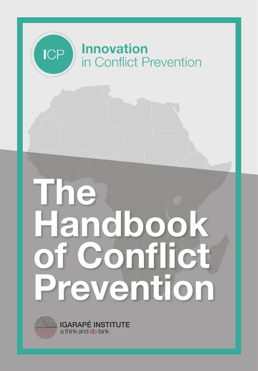

# The Handbook of Conflict Prevention



**GARAPÉ INSTITUTE** a think and do tank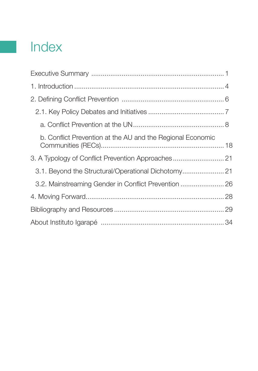# **Index**

| b. Conflict Prevention at the AU and the Regional Economic |  |
|------------------------------------------------------------|--|
|                                                            |  |
| 3.1. Beyond the Structural/Operational Dichotomy 21        |  |
| 3.2. Mainstreaming Gender in Conflict Prevention  26       |  |
|                                                            |  |
|                                                            |  |
|                                                            |  |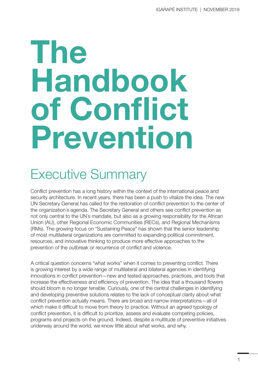# <span id="page-2-0"></span>The Handbook of Conflict Prevention

## Executive Summary

Conflict prevention has a long history within the context of the international peace and security architecture. In recent years, there has been a push to vitalize the idea. The new UN Secretary General has called for the restoration of conflict prevention to the center of the organization´s agenda. The Secretary General and others see conflict prevention as not only central to the UN´s mandate, but also as a growing responsibility for the African Union (AU), other Regional Economic Communities (RECs), and Regional Mechanisms (RMs). The growing focus on "Sustaining Peace" has shown that the senior leadership of most multilateral organizations are committed to expanding political commitment, resources, and innovative thinking to produce more effective approaches to the prevention of the outbreak or recurrence of conflict and violence.

A critical question concerns "what works" when it comes to preventing conflict. There is growing interest by a wide range of multilateral and bilateral agencies in identifying innovations in conflict prevention—new and tested approaches, practices, and tools that increase the effectiveness and efficiency of prevention. The idea that a thousand flowers should bloom is no longer tenable. Curiously, one of the central challenges in identifying and developing preventive solutions relates to the lack of conceptual clarity about what conflict prevention actually means. There are broad and narrow interpretations—all of which make it difficult to move from theory to practice. Without an agreed typology of conflict prevention, it is difficult to prioritize, assess and evaluate competing policies, programs and projects on the ground. Indeed, despite a multitude of preventive initiatives underway around the world, we know little about what works, and why.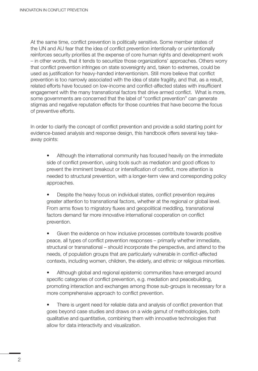At the same time, conflict prevention is politically sensitive. Some member states of the UN and AU fear that the idea of conflict prevention intentionally or unintentionally reinforces security priorities at the expense of core human rights and development work – in other words, that it tends to securitize those organizations' approaches. Others worry that conflict prevention infringes on state sovereignty and, taken to extremes, could be used as justification for heavy-handed interventionism. Still more believe that conflict prevention is too narrowly associated with the idea of state fragility, and that, as a result, related efforts have focused on low-income and conflict-affected states with insufficient engagement with the many transnational factors that drive armed conflict. What is more, some governments are concerned that the label of "conflict prevention" can generate stigmas and negative reputation effects for those countries that have become the focus of preventive efforts.

In order to clarify the concept of conflict prevention and provide a solid starting point for evidence-based analysis and response design, this handbook offers several key takeaway points:

Although the international community has focused heavily on the immediate side of conflict prevention, using tools such as mediation and good offices to prevent the imminent breakout or intensification of conflict, more attention is needed to structural prevention, with a longer-term view and corresponding policy approaches.

• Despite the heavy focus on individual states, conflict prevention requires greater attention to transnational factors, whether at the regional or global level. From arms flows to migratory fluxes and geopolitical meddling, transnational factors demand far more innovative international cooperation on conflict prevention.

Given the evidence on how inclusive processes contribute towards positive peace, all types of conflict prevention responses – primarily whether immediate, structural or transnational – should incorporate the perspective, and attend to the needs, of population groups that are particularly vulnerable in conflict-affected contexts, including women, children, the elderly, and ethnic or religious minorities.

• Although global and regional epistemic communities have emerged around specific categories of conflict prevention, e.g. mediation and peacebuilding, promoting interaction and exchanges among those sub-groups is necessary for a more comprehensive approach to conflict prevention.

There is urgent need for reliable data and analysis of conflict prevention that goes beyond case studies and draws on a wide gamut of methodologies, both qualitative and quantitative, combining them with innovative technologies that allow for data interactivity and visualization.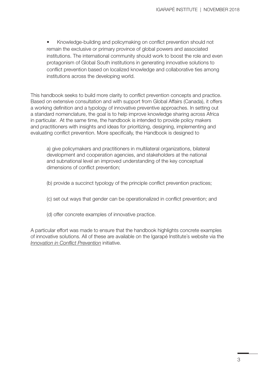• Knowledge-building and policymaking on conflict prevention should not remain the exclusive or primary province of global powers and associated institutions. The international community should work to boost the role and even protagonism of Global South institutions in generating innovative solutions to conflict prevention based on localized knowledge and collaborative ties among institutions across the developing world.

This handbook seeks to build more clarity to conflict prevention concepts and practice. Based on extensive consultation and with support from Global Affairs (Canada), it offers a working definition and a typology of innovative preventive approaches. In setting out a standard nomenclature, the goal is to help improve knowledge sharing across Africa in particular. At the same time, the handbook is intended to provide policy makers and practitioners with insights and ideas for prioritizing, designing, implementing and evaluating conflict prevention. More specifically, the Handbook is designed to

a) give policymakers and practitioners in multilateral organizations, bilateral development and cooperation agencies, and stakeholders at the national and subnational level an improved understanding of the key conceptual dimensions of conflict prevention;

- (b) provide a succinct typology of the principle conflict prevention practices;
- (c) set out ways that gender can be operationalized in conflict prevention; and
- (d) offer concrete examples of innovative practice.

A particular effort was made to ensure that the handbook highlights concrete examples of innovative solutions. All of these are available on the Igarapé Institute´s website via the *[Innovation in Conflict Prevention](https://igarape.org.br/en/innovation-in-conflict-prevention/)* initiative.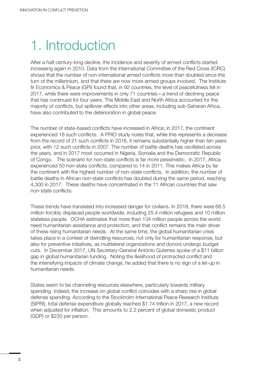## <span id="page-5-0"></span>1. Introduction

After a half century-long decline, the incidence and severity of armed conflicts started increasing again in 2010. Data from the International Committee of the Red Cross (ICRC) shows that the number of non-international armed conflicts more than doubled since the turn of the millennium, and that there are now more armed groups involved. The Institute fir Economics & Peace (GPI) found that, in 92 countries, the level of peacefulness fell in 2017, while there were improvements in only 71 countries—a trend of declining peace that has continued for four years. The Middle East and North Africa accounted for the majority of conflicts, but spillover effects into other areas, including sub-Saharan Africa, have also contributed to the deterioration in global peace.

The number of state-based conflicts have increased in Africa; in 2017, the continent experienced 18 such conflicts. A PRIO study notes that, while this represents a decrease from the record of 21 such conflicts in 2016, it remains substantially higher than ten years prior, with 12 such conflicts in 2007. The number of battle deaths has oscillated across the years, and in 2017 most occurred in Nigeria, Somalia and the Democratic Republic of Congo. The scenario for non-state conflicts is far more pessimistic. In 2017, Africa experienced 50 non-state conflicts, compared to 14 in 2011. This makes Africa by far the continent with the highest number of non-state conflicts. In addition, the number of battle deaths in African non-state conflicts has doubled during the same period, reaching 4,300 in 2017. These deaths have concentrated in the 11 African countries that saw non-state conflicts.

These trends have translated into increased danger for civilians. In 2018, there were 68.5 million forcibly displaced people worldwide, including 25.4 million refugees and 10 million stateless people. OCHA estimates that more than 134 million people across the world need humanitarian assistance and protection, and that conflict remains the main driver of these rising humanitarian needs. At the same time, the global humanitarian crisis takes place in a context of dwindling resources, not only for humanitarian response, but also for preventive initiatives, as multilateral organizations and donors undergo budget cuts. In December 2017, UN Secretary-General António Guterres spoke of a \$11 billion gap in global humanitarian funding. Noting the likelihood of protracted conflict and the intensifying impacts of climate change, he added that there is no sign of a let-up in humanitarian needs.

States seem to be channeling resources elsewhere, particularly towards military spending. Indeed, the increase on global conflict coincides with a sharp rise in global defense spending. According to the Stockholm International Peace Research Institute (SIPRI), total defense expenditure globally reached \$1.74 trillion in 2017, a new record when adjusted for inflation. This amounts to 2.2 percent of global domestic product (GDP) or \$230 per person.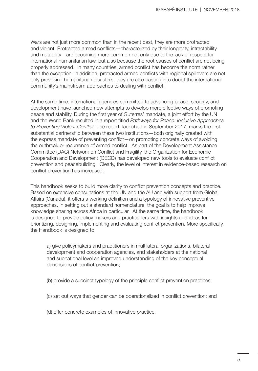Wars are not just more common than in the recent past, they are more protracted and violent. Protracted armed conflicts—characterized by their longevity, intractability and mutability—are becoming more common not only due to the lack of respect for international humanitarian law, but also because the root causes of conflict are not being properly addressed. In many countries, armed conflict has become the norm rather than the exception. In addition, protracted armed conflicts with regional spillovers are not only provoking humanitarian disasters, they are also casting into doubt the international community's mainstream approaches to dealing with conflict.

At the same time, international agencies committed to advancing peace, security, and development have launched new attempts to develop more effective ways of promoting peace and stability. During the first year of Guterres' mandate, a joint effort by the UN and the World Bank resulted in a report titled *[Pathways for Peace: Inclusive Approaches](https://openknowledge.worldbank.org/handle/10986/28337)  [to Preventing Violent Conflict](https://openknowledge.worldbank.org/handle/10986/28337)*. The report, launched in September 2017, marks the first substantial partnership between these two institutions—both originally created with the express mandate of preventing conflict—on promoting concrete ways of avoiding the outbreak or recurrence of armed conflict. As part of the Development Assistance Committee (DAC) Network on Conflict and Fragility, the Organization for Economic Cooperation and Development (OECD) has developed new tools to evaluate conflict prevention and peacebuilding. Clearly, the level of interest in evidence-based research on conflict prevention has increased.

This handbook seeks to build more clarity to conflict prevention concepts and practice. Based on extensive consultations at the UN and the AU and with support from Global Affairs (Canada), it offers a working definition and a typology of innovative preventive approaches. In setting out a standard nomenclature, the goal is to help improve knowledge sharing across Africa in particular. At the same time, the handbook is designed to provide policy makers and practitioners with insights and ideas for prioritizing, designing, implementing and evaluating conflict prevention. More specifically, the Handbook is designed to

a) give policymakers and practitioners in multilateral organizations, bilateral development and cooperation agencies, and stakeholders at the national and subnational level an improved understanding of the key conceptual dimensions of conflict prevention;

- (b) provide a succinct typology of the principle conflict prevention practices;
- (c) set out ways that gender can be operationalized in conflict prevention; and
- (d) offer concrete examples of innovative practice.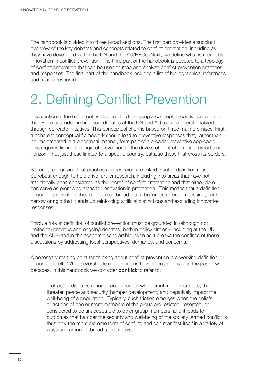<span id="page-7-0"></span>The handbook is divided into three broad sections. The first part provides a succinct overview of the key debates and concepts related to conflict prevention, including as they have developed within the UN and the AU/RECs. Next, we define what is meant by innovation in conflict prevention. The third part of the handbook is devoted to a typology of conflict prevention that can be used to map and analyze conflict prevention practices and responses. The final part of the handbook includes a list of bibliographical references and related resources.

## 2. Defining Conflict Prevention

This section of the handbook is devoted to developing a concept of conflict prevention that, while grounded in historical debates at the UN and AU, can be operationalized through concrete initiatives. This conceptual effort is based on three main premises. First, a coherent conceptual framework should lead to preventive responses that, rather than be implemented in a piecemeal manner, form part of a broader preventive approach. This requires linking the logic of prevention to the drivers of conflict across a broad time horizon—not just those limited to a specific country, but also those that cross its borders.

Second, recognizing that practice and research are linked, such a definition must be robust enough to help drive further research, including into areas that have not traditionally been considered as the "core" of conflict prevention and that either do or can serve as promising areas for innovation in prevention. This means that a definition of conflict prevention should not be so broad that it becomes all-encompassing, nor so narrow or rigid that it ends up reinforcing artificial distinctions and excluding innovative responses.

Third, a robust definition of conflict prevention must be grounded in (although not limited to) previous and ongoing debates, both in policy circles—including at the UN and the AU—and in the academic scholarship, even as it breaks the confines of those discussions by addressing local perspectives, demands, and concerns.

A necessary starting point for thinking about conflict prevention is a working definition of conflict itself. While several different definitions have been proposed in the past few decades, in this handbook we consider **conflict** to refer to:

protracted disputes among social groups, whether inter- or intra-state, that threaten peace and security, hamper development, and negatively impact the well-being of a population. Typically, such friction emerges when the beliefs or actions of one or more members of the group are resisted, resented, or considered to be unacceptable to other group members, and it leads to outcomes that hamper the security and well-being of the society. Armed conflict is thus only the more extreme form of conflict, and can manifest itself in a variety of ways and among a broad set of actors.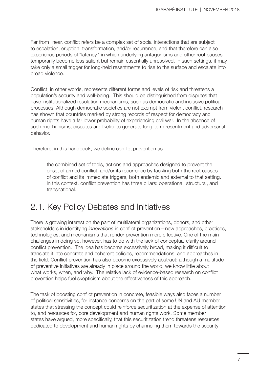<span id="page-8-0"></span>Far from linear, conflict refers be a complex set of social interactions that are subject to escalation, eruption, transformation, and/or recurrence, and that therefore can also experience periods of "latency," in which underlying antagonisms and other root causes temporarily become less salient but remain essentially unresolved. In such settings, it may take only a small trigger for long-held resentments to rise to the surface and escalate into broad violence.

Conflict, in other words, represents different forms and levels of risk and threatens a population's security and well-being. This should be distinguished from disputes that have institutionalized resolution mechanisms, such as democratic and inclusive political processes. Although democratic societies are not exempt from violent conflict, research has shown that countries marked by strong records of respect for democracy and human rights have a [far lower probability of experiencing civil war.](https://www.brookings.edu/research/democracy-and-civil-war/) In the absence of such mechanisms, disputes are likelier to generate long-term resentment and adversarial behavior.

Therefore, in this handbook, we define conflict prevention as

the combined set of tools, actions and approaches designed to prevent the onset of armed conflict, and/or its recurrence by tackling both the root causes of conflict and its immediate triggers, both endemic and external to that setting. In this context, conflict prevention has three pillars: operational, structural, and transnational.

#### 2.1. Key Policy Debates and Initiatives

There is growing interest on the part of multilateral organizations, donors, and other stakeholders in identifying *innovations* in conflict prevention—new approaches, practices, technologies, and mechanisms that render prevention more effective. One of the main challenges in doing so, however, has to do with the lack of conceptual clarity around conflict prevention. The idea has become excessively broad, making it difficult to translate it into concrete and coherent policies, recommendations, and approaches in the field. Conflict prevention has also become excessively abstract; although a multitude of preventive initiatives are already in place around the world, we know little about what works, when, and why. The relative lack of evidence-based research on conflict prevention helps fuel skepticism about the effectiveness of this approach.

The task of boosting conflict prevention in concrete, feasible ways also faces a number of political sensitivities, for instance concerns on the part of some UN and AU member states that stressing the concept could reinforce securitization at the expense of attention to, and resources for, core development and human rights work. Some member states have argued, more specifically, that this securitization trend threatens resources dedicated to development and human rights by channeling them towards the security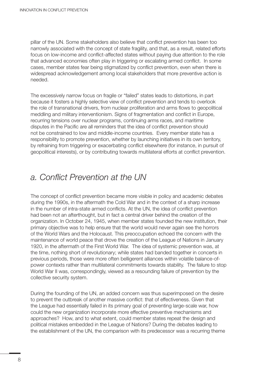<span id="page-9-0"></span>pillar of the UN. Some stakeholders also believe that conflict prevention has been too narrowly associated with the concept of state fragility, and that, as a result, related efforts focus on low-income and conflict-affected states without paying due attention to the role that advanced economies often play in triggering or escalating armed conflict. In some cases, member states fear being stigmatized by conflict prevention, even when there is widespread acknowledgement among local stakeholders that more preventive action is needed.

The excessively narrow focus on fragile or "failed" states leads to distortions, in part because it fosters a highly selective view of conflict prevention and tends to overlook the role of transnational drivers, from nuclear proliferation and arms flows to geopolitical meddling and military interventionism. Signs of fragmentation and conflict in Europe, recurring tensions over nuclear programs, continuing arms races, and maritime disputes in the Pacific are all reminders that the idea of conflict prevention should not be constrained to low and middle-income countries. Every member state has a responsibility to promote prevention, whether by launching initiatives in its own territory, by refraining from triggering or exacerbating conflict elsewhere (for instance, in pursuit of geopolitical interests), or by contributing towards multilateral efforts at conflict prevention.

#### *a. Conflict Prevention at the UN*

The concept of conflict prevention became more visible in policy and academic debates during the 1990s, in the aftermath the Cold War and in the context of a sharp increase in the number of intra-state armed conflicts. At the UN, the idea of conflict prevention had been not an afterthought, but in fact a central driver behind the creation of the organization. In October 24, 1945, when member states founded the new institution, their primary objective was to help ensure that the world would never again see the horrors of the World Wars and the Holocaust. This preoccupation echoed the concern with the maintenance of world peace that drove the creation of the League of Nations in January 1920, in the aftermath of the First World War. The idea of systemic prevention was, at the time, nothing short of revolutionary; while states had banded together in concerts in previous periods, those were more often belligerent alliances within volatile balance-ofpower contexts rather than multilateral commitments towards stability. The failure to stop World War II was, correspondingly, viewed as a resounding failure of prevention by the collective security system.

During the founding of the UN, an added concern was thus superimposed on the desire to prevent the outbreak of another massive conflict: that of effectiveness. Given that the League had essentially failed in its primary goal of preventing large-scale war, how could the new organization incorporate more effective preventive mechanisms and approaches? How, and to what extent, could member states repeat the design and political mistakes embedded in the League of Nations? During the debates leading to the establishment of the UN, the comparison with its predecessor was a recurring theme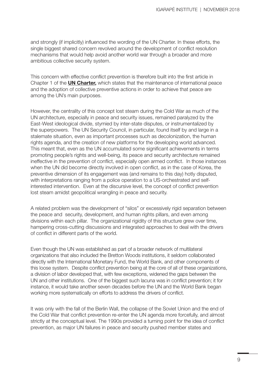and strongly (if implicitly) influenced the wording of the UN Charter. In these efforts, the single biggest shared concern revolved around the development of conflict resolution mechanisms that would help avoid another world war through a broader and more ambitious collective security system.

This concern with effective conflict prevention is therefore built into the first article in Chapter 1 of the **[UN Charter](http://www.un.org/en/charter-united-nations/)**, which states that the maintenance of international peace and the adoption of collective preventive actions in order to achieve that peace are among the UN's main purposes.

However, the centrality of this concept lost steam during the Cold War as much of the UN architecture, especially in peace and security issues, remained paralyzed by the East-West ideological divide, stymied by inter-state disputes, or instrumentalized by the superpowers. The UN Security Council, in particular, found itself by and large in a stalemate situation, even as important processes such as decolonization, the human rights agenda, and the creation of new platforms for the developing world advanced. This meant that, even as the UN accumulated some significant achievements in terms promoting people's rights and well-being, its peace and security architecture remained ineffective in the prevention of conflict, especially open armed conflict. In those instances when the UN did become directly involved in open conflict, as in the case of Korea, the preventive dimension of its engagement was (and remains to this day) hotly disputed, with interpretations ranging from a police operation to a US-orchestrated and selfinterested intervention. Even at the discursive level, the concept of conflict prevention lost steam amidst geopolitical wrangling in peace and security.

A related problem was the development of "silos" or excessively rigid separation between the peace and security, development, and human rights pillars, and even among divisions within each pillar. The organizational rigidity of this structure grew over time, hampering cross-cutting discussions and integrated approaches to deal with the drivers of conflict in different parts of the world.

Even though the UN was established as part of a broader network of multilateral organizations that also included the Bretton Woods institutions, it seldom collaborated directly with the International Monetary Fund, the World Bank, and other components of this loose system. Despite conflict prevention being at the core of all of these organizations, a division of labor developed that, with few exceptions, widened the gaps between the UN and other institutions. One of the biggest such lacuna was in conflict prevention; it for instance, it would take another seven decades before the UN and the World Bank began working more systematically on efforts to address the drivers of conflict.

It was only with the fall of the Berlin Wall, the collapse of the Soviet Union and the end of the Cold War that conflict prevention re-enter the UN agenda more forcefully, and almost strictly at the conceptual level. The 1990s provided a turning point for the idea of conflict prevention, as major UN failures in peace and security pushed member states and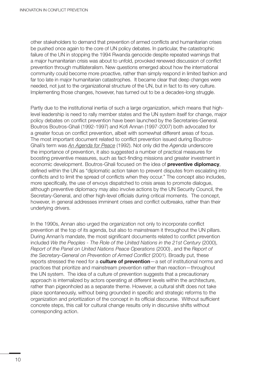other stakeholders to demand that prevention of armed conflicts and humanitarian crises be pushed once again to the core of UN policy debates. In particular, the catastrophic failure of the UN in stopping the 1994 Rwanda genocide despite repeated warnings that a major humanitarian crisis was about to unfold, provoked renewed discussion of conflict prevention through multilateralism. New questions emerged about how the international community could become more proactive, rather than simply respond in limited fashion and far too late in major humanitarian catastrophes. It became clear that deep changes were needed, not just to the organizational structure of the UN, but in fact to its very culture. Implementing those changes, however, has turned out to be a decades-long struggle.

Partly due to the institutional inertia of such a large organization, which means that highlevel leadership is need to rally member states and the UN system itself for change, major policy debates on conflict prevention have been launched by the Secretaries-General. Boutros Boutros-Ghali (1992-1997) and Kofi Annan (1997-2007) both advocated for a greater focus on conflict prevention, albeit with somewhat different areas of focus. The most important document related to conflict prevention issued during Boutros-Ghali's term was *[An Agenda for Peace](http://www.un-documents.net/a47-277.htm)* (1992). Not only did the *Agenda* underscore the importance of prevention, it also suggested a number of practical measures for boosting preventive measures, such as fact-finding missions and greater investment in economic development. Boutros-Ghali focused on the idea of **preventive diplomacy**, defined within the UN as "diplomatic action taken to prevent disputes from escalating into conflicts and to limit the spread of conflicts when they occur." The concept also includes, more specifically, the use of envoys dispatched to crisis areas to promote dialogue, although preventive diplomacy may also involve actions by the UN Security Council, the Secretary-General, and other high-level officials during critical moments. The concept, however, in general addresses imminent crises and conflict outbreaks, rather than their underlying drivers.

In the 1990s, Annan also urged the organization not only to incorporate conflict prevention at the top of its agenda, but also to mainstream it throughout the UN pillars. During Annan's mandate, the most significant documents related to conflict prevention included *We the Peoples - The Role of the United Nations in the 21st Century* (2000), *Report of the Panel on United Nations Peace Operations* (2000) , and the *Report of the Secretary-General on Prevention of Armed Conflict* (2001). Broadly put, these reports stressed the need for a **culture of prevention**—a set of institutional norms and practices that prioritize and mainstream prevention rather than reaction—throughout the UN system. The idea of a culture of prevention suggests that a precautionary approach is internalized by actors operating at different levels within the architecture, rather than pigeonholed as a separate theme. However, a cultural shift does not take place spontaneously, without being grounded in specific and strategic reforms to the organization and prioritization of the concept in its official discourse. Without sufficient concrete steps, this call for cultural change results only in discursive shifts without corresponding action.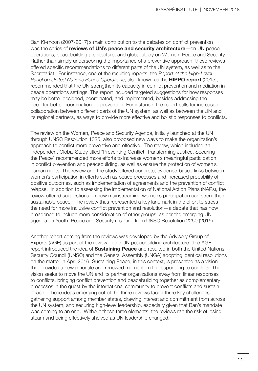Ban Ki-moon (2007-2017)'s main contribution to the debates on conflict prevention was the series of reviews of UN's peace and security architecture—on UN peace operations, peacebuilding architecture, and global study on Women, Peace and Security. Rather than simply underscoring the importance of a preventive approach, these reviews offered specific recommendations to different parts of the UN system, as well as to the Secretariat. For instance, one of the resulting reports, the *Report of the High-Level Panel on United Nations Peace Operations*, also known as the [HIPPO report](http://peaceoperationsreview.org/wp-content/uploads/2015/08/HIPPO_Report_1_June_2015.pdf) (2015), recommended that the UN strengthen its capacity in conflict prevention and mediation in peace operations settings. The report included targeted suggestions for how responses may be better designed, coordinated, and implemented, besides addressing the need for better coordination for prevention. For instance, the report calls for increased collaboration between different parts of the UN system, as well as between the UN and its regional partners, as ways to provide more effective and holistic responses to conflicts.

The review on the Women, Peace and Security Agenda, initially launched at the UN through UNSC Resolution 1325, also proposed new ways to make the organization's approach to conflict more preventive and effective. The review, which included an independent [Global Study](http://wps.unwomen.org/) titled "Preventing Conflict, Transforming Justice, Securing the Peace" recommended more efforts to increase women's meaningful participation in conflict prevention and peacebuilding, as well as ensure the protection of women's human rights. The review and the study offered concrete, evidence-based links between women's participation in efforts such as peace processes and increased probability of positive outcomes, such as implementation of agreements and the prevention of conflict relapse. In addition to assessing the implementation of National Action Plans (NAPs), the review offered suggestions on how mainstreaming women's participation can strengthen sustainable peace. The review thus represented a key landmark in the effort to stress the need for more inclusive conflict prevention and resolution—a debate that has now broadened to include more consideration of other groups, as per the emerging UN agenda on [Youth, Peace and Security](https://www.un.org/development/desa/youth/international-youth-day-2017/resources-on-youth-peace-and-security.html) resulting from UNSC Resolution 2250 (2015).

Another report coming from the reviews was developed by the Advisory Group of Experts (AGE) as part of the [review of the UN peacebuilding architecture](http://www.un.org/en/peacebuilding/pdf/150630%20Report%20of%20the%20AGE%20on%20the%202015%20Peacebuilding%20Review%20FINAL.pdf). The AGE report introduced the idea of **Sustaining Peace** and resulted in both the United Nations Security Council (UNSC) and the General Assembly (UNGA) adopting identical resolutions on the matter in April 2016. Sustaining Peace, in this context, is presented as a vision that provides a new rationale and renewed momentum for responding to conflicts. The vision seeks to move the UN and its partner organizations away from linear responses to conflicts, bringing conflict prevention and peacebuilding together as complementary processes in the quest by the international community to prevent conflicts and sustain peace. These ideas emerging out of the three reviews faced three key challenges: gathering support among member states, drawing interest and commitment from across the UN system, and securing high-level leadership, especially given that Ban's mandate was coming to an end. Without these three elements, the reviews ran the risk of losing steam and being effectively shelved as UN leadership changed.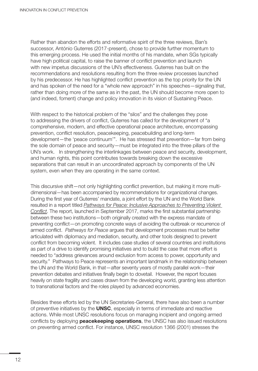Rather than abandon the efforts and reformative spirit of the three reviews, Ban's successor, António Guterres (2017-present), chose to provide further momentum to this emerging process. He used the initial months of his mandate, when SGs typically have high political capital, to raise the banner of conflict prevention and launch with new impetus discussions of the UN's effectiveness. Guterres has built on the recommendations and resolutions resulting from the three review processes launched by his predecessor. He has highlighted conflict prevention as the top priority for the UN and has spoken of the need for a "whole new approach" in his speeches—signaling that, rather than doing more of the same as in the past, the UN should become more open to (and indeed, foment) change and policy innovation in its vision of Sustaining Peace.

With respect to the historical problem of the "silos" and the challenges they pose to addressing the drivers of conflict, Guterres has called for the development of "a comprehensive, modern, and effective operational peace architecture, encompassing prevention, conflict resolution, peacekeeping, peacebuilding and long-term development—the 'peace continuum'". He has stressed that prevention—far from being the sole domain of peace and security—must be integrated into the three pillars of the UN's work. In strengthening the interlinkages between peace and security, development, and human rights, this point contributes towards breaking down the excessive separations that can result in an uncoordinated approach by components of the UN system, even when they are operating in the same context.

This discursive shift—not only highlighting conflict prevention, but making it more multidimensional—has been accompanied by recommendations for organizational changes. During the first year of Guterres' mandate, a joint effort by the UN and the World Bank resulted in a report titled *[Pathways for Peace: Inclusive Approaches to Preventing Violent](https://openknowledge.worldbank.org/handle/10986/28337)  [Conflict](https://openknowledge.worldbank.org/handle/10986/28337)*. The report, launched in September 2017, marks the first substantial partnership between these two institutions—both originally created with the express mandate of preventing conflict—on promoting concrete ways of avoiding the outbreak or recurrence of armed conflict. *Pathways for Peace* argues that development processes must be better articulated with diplomacy and mediation, security, and other tools designed to prevent conflict from becoming violent. It includes case studies of several countries and institutions as part of a drive to identify promising initiatives and to build the case that more effort is needed to "address grievances around exclusion from access to power, opportunity and security." Pathways to Peace represents an important landmark in the relationship between the UN and the World Bank, in that—after seventy years of mostly parallel work—their prevention debates and initiatives finally begin to dovetail. However, the report focuses heavily on state fragility and cases drawn from the developing world, granting less attention to transnational factors and the roles played by advanced economies.

Besides these efforts led by the UN Secretaries-General, there have also been a number of preventive initiatives by the UNSC, especially in terms of immediate and reactive actions. While most UNSC resolutions focus on managing incipient and ongoing armed conflicts by deploying **peacekeeping operations**, the UNSC has also issued resolutions on preventing armed conflict. For instance, UNSC resolution 1366 (2001) stresses the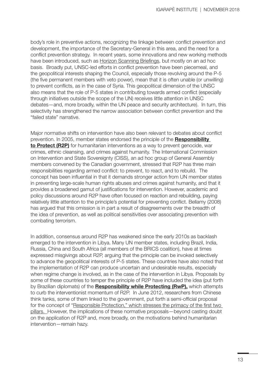body's role in preventive actions, recognizing the linkage between conflict prevention and development, the importance of the Secretary-General in this area, and the need for a conflict prevention strategy. In recent years, some innovations and new working methods have been introduced, such as [Horizon Scanning Briefings,](http://www.securitycouncilreport.org/un-security-council-working-methods/horizon-scanning-briefings.php) but mostly on an ad hoc basis. Broadly put, UNSC-led efforts in conflict prevention have been piecemeal, and the geopolitical interests shaping the Council, especially those revolving around the P-5 (the five permanent members with veto power), mean that it is often unable (or unwilling) to prevent conflicts, as in the case of Syria. This geopolitical dimension of the UNSC also means that the role of P-5 states in contributing towards armed conflict (especially through initiatives outside the scope of the UN) receives little attention in UNSC debates—and, more broadly, within the UN peace and security architecture). In turn, this selectivity has strengthened the narrow association between conflict prevention and the "failed state" narrative.

Major normative shifts on intervention have also been relevant to debates about conflict prevention. In 2005, member states endorsed the principle of the Responsibility [to Protect \(R2P\)](http://www.un.org/en/genocideprevention/about-responsibility-to-protect.html) for humanitarian interventions as a way to prevent genocide, war crimes, ethnic cleansing, and crimes against humanity. The International Commission on Intervention and State Sovereignty (CISS), an ad hoc group of General Assembly members convened by the Canadian government, stressed that R2P has three main responsibilities regarding armed conflict: to prevent, to react, and to rebuild. The concept has been influential in that it demands stronger action from UN member states in preventing large-scale human rights abuses and crimes against humanity, and that it provides a broadened gamut of justifications for intervention. However, academic and policy discussions around R2P have often focused on reaction and rebuilding, paying relatively little attention to the principle's potential for preventing conflict. Bellamy (2008) has argued that this omission is in part a result of disagreements over the breadth of the idea of prevention, as well as political sensitivities over associating prevention with combating terrorism.

In addition, consensus around R2P has weakened since the early 2010s as backlash emerged to the intervention in Libya. Many UN member states, including Brazil, India, Russia, China and South Africa (all members of the BRICS coalition), have at times expressed misgivings about R2P, arguing that the principle can be invoked selectively to advance the geopolitical interests of P-5 states. These countries have also noted that the implementation of R2P can produce uncertain and undesirable results, especially when regime change is involved, as in the case of the intervention in Libya. Proposals by some of these countries to temper the principle of R2P have included the idea (put forth by Brazilian diplomats) of the [Responsibility while Protecting \(RwP\),](http://www.responsibilitytoprotect.org/index.php/crises/178-other-rtop-concerns/4915-jennifer-welsh-patrick-quinton-brown-and-victor-macdiarmid-ccr2p-brazils-responsibility-while-protecting-proposal-a-canadian-perspective) which attempts to curb the interventionist momentum of R2P. In June 2012, researchers from Chinese think tanks, some of them linked to the government, put forth a semi-official proposal for the concept of "[Responsible Protection," which stresses the primacy of the first two](http://www.ciis.org.cn/english/2012-06/15/content_5090912.htm)  [pillars.](http://www.ciis.org.cn/english/2012-06/15/content_5090912.htm) However, the implications of these normative proposals—beyond casting doubt on the application of R2P and, more broadly, on the motivations behind humanitarian intervention—remain hazy.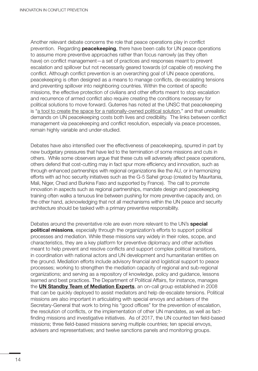Another relevant debate concerns the role that peace operations play in conflict prevention. Regarding **peacekeeping**, there have been calls for UN peace operations to assume more preventive approaches rather than focus narrowly (as they often have) on conflict management—a set of practices and responses meant to prevent escalation and spillover but not necessarily geared towards (of capable of) resolving the conflict. Although conflict prevention is an overarching goal of UN peace operations, peacekeeping is often designed as a means to manage conflicts, de-escalating tensions and preventing spillover into neighboring countries. Within the context of specific missions, the effective protection of civilians and other efforts meant to stop escalation and recurrence of armed conflict also require creating the conditions necessary for political solutions to move forward. Guterres has noted at the UNSC that peacekeeping is "[a tool to create the space for a nationally-owned political solution](https://www.un.org/sg/en/content/sg/speeches/2018-03-28/collective-action-improve-un-peacekeeping-operations-remarks)," and that unrealistic demands on UN peacekeeping costs both lives and credibility. The links between conflict management via peacekeeping and conflict resolution, especially via peace processes, remain highly variable and under-studied.

Debates have also intensified over the effectiveness of peacekeeping, spurred in part by new budgetary pressures that have led to the termination of some missions and cuts in others. While some observers argue that these cuts will adversely affect peace operations, others defend that cost-cutting may in fact spur more efficiency and innovation, such as through enhanced partnerships with regional organizations like the AU, or in harmonizing efforts with ad hoc security initiatives such as the G-5 Sahel group (created by Mauritania, Mali, Niger, Chad and Burkina Faso and supported by France). The call to promote innovation in aspects such as regional partnerships, mandate design and peacekeeping training often walks a tenuous line between pushing for more preventive capacity and, on the other hand, acknowledging that not all mechanisms within the UN peace and security architecture should be tasked with a primary preventive responsibility.

Debates around the preventative role are even more relevant to the UN's **special** political missions, especially through the organization's efforts to support political processes and mediation. While these missions vary widely in their roles, scope, and characteristics, they are a key platform for preventive diplomacy and other activities meant to help prevent and resolve conflicts and support complex political transitions, in coordination with national actors and UN development and humanitarian entities on the ground. Mediation efforts include advisory financial and logistical support to peace processes; working to strengthen the mediation capacity of regional and sub-regional organizations; and serving as a repository of knowledge, policy and guidance, lessons learned and best practices. The Department of Political Affairs, for instance, manages the [UN Standby Team of Mediation Experts](https://peacemaker.un.org/mediation-support/stand-by-team), an on-call group established in 2008 that can be quickly deployed to assist mediators and help de-escalate tensions. Political missions are also important in articulating with special envoys and advisers of the Secretary-General that work to bring his "good offices" for the prevention of escalation, the resolution of conflicts, or the implementation of other UN mandates, as well as factfinding missions and investigative initiatives. As of 2017, the UN counted ten field-based missions; three field-based missions serving multiple countries; ten special envoys, advisers and representatives; and twelve sanctions panels and monitoring groups.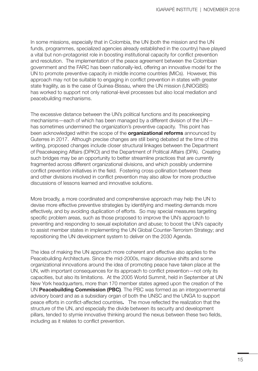In some missions, especially that in Colombia, the UN (both the mission and the UN funds, programmes, specialized agencies already established in the country) have played a vital but non-protagonist role in boosting institutional capacity for conflict prevention and resolution. The implementation of the peace agreement between the Colombian government and the FARC has been nationally-led, offering an innovative model for the UN to promote preventive capacity in middle income countries (MICs). However, this approach may not be suitable to engaging in conflict prevention in states with greater state fragility, as is the case of Guinea-Bissau, where the UN mission (UNIOGBIS) has worked to support not only national-level processes but also local mediation and peacebuilding mechanisms.

The excessive distance between the UN's political functions and its peacekeeping mechanisms—each of which has been managed by a different division of the UN has sometimes undermined the organization's preventive capacity. This point has been acknowledged within the scope of the **organizational reforms** announced by Guterres in 2017. Although precise changes are still being debated at the time of this writing, proposed changes include closer structural linkages between the Department of Peacekeeping Affairs (DPKO) and the Department of Political Affairs (DPA). Creating such bridges may be an opportunity to better streamline practices that are currently fragmented across different organizational divisions, and which possibly undermine conflict prevention initiatives in the field. Fostering cross-pollination between these and other divisions involved in conflict prevention may also allow for more productive discussions of lessons learned and innovative solutions.

More broadly, a more coordinated and comprehensive approach may help the UN to devise more effective preventive strategies by identifying and meeting demands more effectively, and by avoiding duplication of efforts. So may special measures targeting specific problem areas, such as those proposed to improve the UN's approach to preventing and responding to sexual exploitation and abuse; to boost the UN's capacity to assist member states in implementing the UN Global Counter-Terrorism Strategy; and repositioning the UN development system to deliver on the 2030 Agenda.

The idea of making the UN approach more coherent and effective also applies to the Peacebuilding Architecture. Since the mid-2000s, major discursive shifts and some organizational innovations around the idea of promoting peace have taken place at the UN, with important consequences for its approach to conflict prevention—not only its capacities, but also its limitations. At the 2005 World Summit, held in September at UN New York headquarters, more than 170 member states agreed upon the creation of the UN Peacebuilding Commission (PBC). The PBC was formed as an intergovernmental advisory board and as a subsidiary organ of both the UNSC and the UNGA to support peace efforts in conflict-affected countries. The move reflected the realization that the structure of the UN, and especially the divide between its security and development pillars, tended to stymie innovative thinking around the nexus between these two fields, including as it relates to conflict prevention.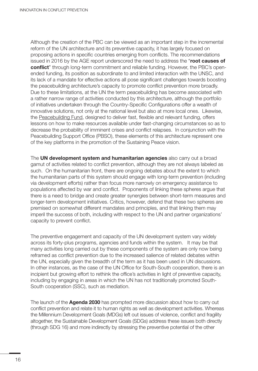Although the creation of the PBC can be viewed as an important step in the incremental reform of the UN architecture and its preventive capacity, it has largely focused on proposing actions in specific countries emerging from conflicts. The recommendations issued in 2016 by the AGE report underscored the need to address the "root causes of conflict" through long-term commitment and reliable funding. However, the PBC's openended funding, its position as subordinate to and limited interaction with the UNSC, and its lack of a mandate for effective actions all pose significant challenges towards boosting the peacebuilding architecture's capacity to promote conflict prevention more broadly. Due to these limitations, at the UN the term peacebuilding has become associated with a rather narrow range of activities conducted by this architecture, although the portfolio of initiatives undertaken through the Country-Specific Configurations offer a wealth of innovative solutions, not only at the national level but also at more local ones. Likewise, the [Peacebuilding Fund](http://www.unpbf.orghttp://www.unpbf.org//), designed to deliver fast, flexible and relevant funding, offers lessons on how to make resources available under fast-changing circumstances so as to decrease the probability of imminent crises and conflict relapses. In conjunction with the Peacebuilding Support Office (PBSO), these elements of this architecture represent one of the key platforms in the promotion of the Sustaining Peace vision.

The UN development system and humanitarian agencies also carry out a broad gamut of activities related to conflict prevention, although they are not always labeled as such. On the humanitarian front, there are ongoing debates about the extent to which the humanitarian parts of this system should engage with long-term prevention (including via development efforts) rather than focus more narrowly on emergency assistance to populations affected by war and conflict. Proponents of linking these spheres argue that there is a need to bridge and create greater synergies between short-term measures and longer-term development initiatives. Critics, however, defend that these two spheres are premised on somewhat different mandates and principles, and that linking them may imperil the success of both, including with respect to the UN and partner organizations' capacity to prevent conflict.

The preventive engagement and capacity of the UN development system vary widely across its forty-plus programs, agencies and funds within the system. It may be that many activities long carried out by these components of the system are only now being reframed as conflict prevention due to the increased salience of related debates within the UN, especially given the breadth of the term as it has been used in UN discussions. In other instances, as the case of the UN Office for South-South cooperation, there is an incipient but growing effort to rethink the office's activities in light of preventive capacity, including by engaging in areas in which the UN has not traditionally promoted South-South cooperation (SSC), such as mediation.

The launch of the Agenda 2030 has prompted more discussion about how to carry out conflict prevention and relate it to human rights as well as development activities. Whereas the Millennium Development Goals (MDGs) left out issues of violence, conflict and fragility altogether, the Sustainable Development Goals (SDGs) address these issues both directly (through SDG 16) and more indirectly by stressing the preventive potential of the other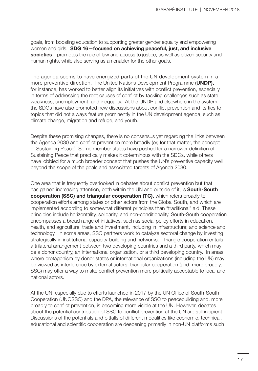goals, from boosting education to supporting greater gender equality and empowering women and girls. **SDG 16-focused on achieving peaceful, just, and inclusive** societies—promotes the rule of law and access to justice, as well as citizen security and human rights, while also serving as an enabler for the other goals.

The agenda seems to have energized parts of the UN development system in a more preventive direction. The United Nations Development Programme (UNDP), for instance, has worked to better align its initiatives with conflict prevention, especially in terms of addressing the root causes of conflict by tackling challenges such as state weakness, unemployment, and inequality. At the UNDP and elsewhere in the system, the SDGs have also promoted new discussions about conflict prevention and its ties to topics that did not always feature prominently in the UN development agenda, such as climate change, migration and refuge, and youth.

Despite these promising changes, there is no consensus yet regarding the links between the Agenda 2030 and conflict prevention more broadly (or, for that matter, the concept of Sustaining Peace). Some member states have pushed for a narrower definition of Sustaining Peace that practically makes it coterminous with the SDGs, while others have lobbied for a much broader concept that pushes the UN's preventive capacity well beyond the scope of the goals and associated targets of Agenda 2030.

One area that is frequently overlooked in debates about conflict prevention but that has gained increasing attention, both within the UN and outside of it, is **South-South** cooperation (SSC) and triangular cooperation (TC), which refers broadly to cooperation efforts among states or other actors from the Global South, and which are implemented according to somewhat different principles than "traditional" aid. These principles include horizontality, solidarity, and non-conditionality. South-South cooperation encompasses a broad range of initiatives, such as social policy efforts in education, health, and agriculture; trade and investment, including in infrastructure; and science and technology. In some areas, SSC partners work to catalyze sectoral change by investing strategically in institutional capacity-building and networks. Triangle cooperation entails a trilateral arrangement between two developing countries and a third party, which may be a donor country, an international organization, or a third developing country. In areas where protagonism by donor states or international organizations (including the UN) may be viewed as interference by external actors, triangular cooperation (and, more broadly, SSC) may offer a way to make conflict prevention more politically acceptable to local and national actors.

At the UN, especially due to efforts launched in 2017 by the UN Office of South-South Cooperation (UNOSSC) and the DPA, the relevance of SSC to peacebuilding and, more broadly to conflict prevention, is becoming more visible at the UN. However, debates about the potential contribution of SSC to conflict prevention at the UN are still incipient. Discussions of the potentials and pitfalls of different modalities like economic, technical, educational and scientific cooperation are deepening primarily in non-UN platforms such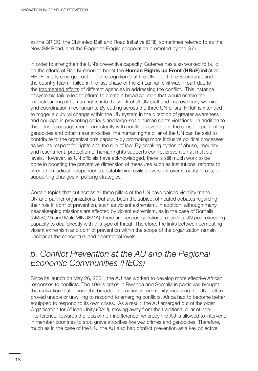<span id="page-19-0"></span>as the BRICS, the China-led Belt and Road Initiative (BRI), sometimes referred to as the New Silk Road, and the [Fragile-to Fragile cooperation promoted by the G7+.](http://www.g7plus.org/sites/default/files/basic-page-downloads/g7%2B-Policy-Note-on-Fragile-to-Fragile-Cooperation-English.pdf)

In order to strengthen the UN's preventive capacity, Guterres has also worked to build on the efforts of Ban Ki-moon to boost the [Human Rights up Front \(HRuF\)](https://www.un.org/sg/en/content/ban-ki-moon/human-rights-front-initiative) initiative. HRuF initially emerged out of the recognition that the UN—both the Secretariat and the country team—failed in the last phase of the Sri Lankan civil war, in part due to the [fragmented efforts](http://www.gppi.net/publications/peace-security/article/making-the-united-nations-system-more-effective-on-conflict-prevention/) of different agencies in addressing the conflict. This instance of systemic failure led to efforts to create a broad solution that would enable the mainstreaming of human rights into the work of all UN staff and improve early warning and coordination mechanisms. By cutting across the three UN pillars, HRuF is intended to trigger a cultural change within the UN system in the direction of greater awareness and courage in preventing serious and large-scale human rights violations. In addition to this effort to engage more consistently with conflict prevention in the sense of preventing genocides and other mass atrocities, the human rights pillar of the UN can be said to contribute to the organization's capacity by promoting more inclusive political processes as well as respect for rights and the rule of law. By breaking cycles of abuse, impunity and resentment, protection of human rights supports conflict prevention at multiple levels. However, as UN officials have acknowledged, there is still much work to be done in boosting the preventive dimension of measures such as institutional reforms to strengthen judicial independence, establishing civilian oversight over security forces, or supporting changes in policing strategies.

Certain topics that cut across all three pillars of the UN have gained visibility at the UN and partner organizations, but also been the subject of heated debates regarding their role in conflict prevention, such as violent extremism. In addition, although many peacekeeping missions are affected by violent extremism, as in the case of Somalia (AMISOM) and Mali (MINUSMA), there are serious questions regarding UN peacekeeping capacity to deal directly with this type of threat. Therefore, the links between combating violent extremism and conflict prevention within the scope of the organization remain unclear at the conceptual and operational levels.

### *b. Conflict Prevention at the AU and the Regional Economic Communities (RECs)*

Since its launch on May 26, 2001, the AU has worked to develop more effective African responses to conflicts. The 1990s crises in Rwanda and Somalia in particular, brought the realization that—since the broader international community, including the UN—often proved unable or unwilling to respond to emerging conflicts, Africa had to become better equipped to respond to its own crises. As a result, the AU emerged out of the older Organisation for African Unity (OAU), moving away from the traditional pillar of noninterference, towards the idea of non-indifference, whereby the AU is allowed to intervene in member countries to stop grave atrocities like war crimes and genocides. Therefore, much as in the case of the UN, the AU also had conflict prevention as a key objective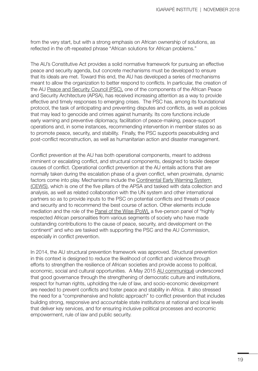from the very start, but with a strong emphasis on African ownership of solutions, as reflected in the oft-repeated phrase "African solutions for African problems."

The AU's Constitutive Act provides a solid normative framework for pursuing an effective peace and security agenda, but concrete mechanisms must be developed to ensure that its ideals are met. Toward this end, the AU has developed a series of mechanisms meant to allow the organization to better respond to conflicts. In particular, the creation of the AU [Peace and Security Council \(PSC\),](https://au.int/en/organs/psc) one of the components of the African Peace and Security Architecture (APSA), has received increasing attention as a way to provide effective and timely responses to emerging crises. The PSC has, among its foundational protocol, the task of anticipating and preventing disputes and conflicts, as well as policies that may lead to genocide and crimes against humanity. Its core functions include early warning and preventive diplomacy, facilitation of peace-making, peace-support operations and, in some instances, recommending intervention in member states so as to promote peace, security, and stability. Finally, the PSC supports peacebuilding and post-conflict reconstruction, as well as humanitarian action and disaster management.

Conflict prevention at the AU has both operational components, meant to address imminent or escalating conflict, and structural components, designed to tackle deeper causes of conflict. Operational conflict prevention at the AU entails actions that are normally taken during the escalation phase of a given conflict, when proximate, dynamic factors come into play. Mechanisms include the [Continental Early Warning System](http://www.peaceau.org/en/page/28-continental-early-warning)  [\(CEWS\),](http://www.peaceau.org/en/page/28-continental-early-warning) which is one of the five pillars of the APSA and tasked with data collection and analysis, as well as related collaboration with the UN system and other international partners so as to provide inputs to the PSC on potential conflicts and threats of peace and security and to recommend the best course of action. Other elements include mediation and the role of the [Panel of the Wise \(PoW\),](http://www.peaceau.org/en/page/29-panel-of-the-wise-pow) a five-person panel of "highly respected African personalities from various segments of society who have made outstanding contributions to the cause of peace, security, and development on the continent" and who are tasked with supporting the PSC and the AU Commission, especially in conflict prevention.

In 2014, the AU structural prevention framework was approved. Structural prevention in this context is designed to reduce the likelihood of conflict and violence through efforts to strengthen the resilience of African societies and provide access to political, economic, social and cultural opportunities. A May 2015 [AU communiqué](http://www.peaceau.org/en/article/communique-of-the-peace-and-security-council-of-the-african-union-au-at-its-502nd-meeting-on-the-structural-prevention-of-conflict-in-africa) underscored that good governance through the strengthening of democratic culture and institutions, respect for human rights, upholding the rule of law, and socio-economic development are needed to prevent conflicts and foster peace and stability in Africa. It also stressed the need for a "comprehensive and holistic approach" to conflict prevention that includes building strong, responsive and accountable state institutions at national and local levels that deliver key services, and for ensuring inclusive political processes and economic empowerment, rule of law and public security.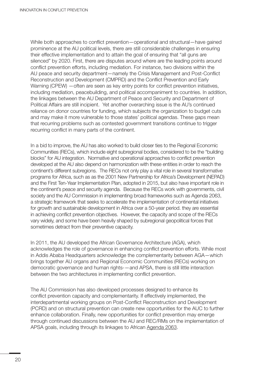While both approaches to conflict prevention—operational and structural—have gained prominence at the AU political levels, there are still considerable challenges in ensuring their effective implementation and to attain the goal of ensuring that "all guns are silenced" by 2020. First, there are disputes around where are the leading points around conflict prevention efforts, including mediation. For instance, two divisions within the AU peace and security department—namely the Crisis Management and Post-Conflict Reconstruction and Development (CMPRD) and the Conflict Prevention and Early Warning (CPEW) —often are seen as key entry points for conflict prevention initiatives, including mediation, peacebuilding, and political accompaniment to countries. In addition, the linkages between the AU Department of Peace and Security and Department of Political Affairs are still incipient. Yet another overarching issue is the AU's continued reliance on donor countries for funding, which subjects the organization to budget cuts and may make it more vulnerable to those states' political agendas. These gaps mean that recurring problems such as contested government transitions continue to trigger recurring conflict in many parts of the continent.

In a bid to improve, the AU has also worked to build closer ties to the Regional Economic Communities (RECs), which include eight subregional bodies, considered to be the "building blocks" for AU integration. Normative and operational approaches to conflict prevention developed at the AU also depend on harmonization with these entities in order to reach the continent's different subregions. The RECs not only play a vital role in several transformative programs for Africa, such as as the 2001 New Partnership for Africa's Development (NEPAD) and the First Ten-Year Implementation Plan, adopted in 2015, but also have important role in the continent's peace and security agenda. Because the RECs work with governments, civil society and the AU Commission in implementing broad frameworks such as Agenda 2063, a strategic framework that seeks to accelerate the implementation of continental initiatives for growth and sustainable development in Africa over a 50-year period. they are essential in achieving conflict prevention objectives. However, the capacity and scope of the RECs vary widely, and some have been heavily shaped by subregional geopolitical forces that sometimes detract from their preventive capacity.

In 2011, the AU developed the African Governance Architecture (AGA), which acknowledges the role of governance in enhancing conflict prevention efforts. While most in Addis Ababa Headquarters acknowledge the complementarity between AGA—which brings together AU organs and Regional Economic Communities (RECs) working on democratic governance and human rights-—and APSA, there is still little interaction between the two architectures in implementing conflict prevention.

The AU Commission has also developed processes designed to enhance its conflict prevention capacity and complementarity. If effectively implemented, the interdepartmental working groups on Post-Conflict Reconstruction and Development (PCRD) and on structural prevention can create new opportunities for the AUC to further enhance collaboration. Finally, new opportunities for conflict prevention may emerge through continued discussions between the AU and REC/RMs on the implementation of APSA goals, including through its linkages to African [Agenda 2063.](https://au.int/en/agenda2063)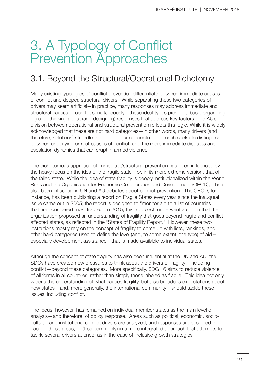## <span id="page-22-0"></span>3. A Typology of Conflict Prevention Approaches

## 3.1. Beyond the Structural/Operational Dichotomy

Many existing typologies of conflict prevention differentiate between immediate causes of conflict and deeper, structural drivers. While separating these two categories of drivers may seem artificial—in practice, many responses may address immediate and structural causes of conflict simultaneously—these ideal types provide a basic organizing logic for thinking about (and designing) responses that address key factors. The AU's division between operational and structural prevention reflects this logic. While it is widely acknowledged that these are not hard categories—in other words, many drivers (and therefore, solutions) straddle the divide—our conceptual approach seeks to distinguish between underlying or root causes of conflict, and the more immediate disputes and escalation dynamics that can erupt in armed violence.

The dichotomous approach of immediate/structural prevention has been influenced by the heavy focus on the idea of the fragile state—or, in its more extreme version, that of the failed state. While the idea of state fragility is deeply institutionalized within the World Bank and the Organisation for Economic Co-operation and Development (OECD), it has also been influential in UN and AU debates about conflict prevention. The OECD, for instance, has been publishing a report on Fragile States every year since the inaugural issue came out in 2005; the report is designed to "monitor aid to a list of countries that are considered most fragile." In 2015, this approach underwent a shift in that the organization proposed an understanding of fragility that goes beyond fragile and conflictaffected states, as reflected in the "States of Fragility Report." However, these two institutions mostly rely on the concept of fragility to come up with lists, rankings, and other hard categories used to define the level (and, to some extent, the type) of aid especially development assistance—that is made available to individual states.

Although the concept of state fragility has also been influential at the UN and AU, the SDGs have created new pressures to think about the drivers of fragility—including conflict—beyond these categories. More specifically, SDG 16 aims to reduce violence of all forms in all countries, rather than simply those labeled as fragile. This idea not only widens the understanding of what causes fragility, but also broadens expectations about how states—and, more generally, the international community—should tackle these issues, including conflict.

The focus, however, has remained on individual member states as the main level of analysis—and therefore, of policy response. Areas such as political, economic, sociocultural, and institutional conflict drivers are analyzed, and responses are designed for each of these areas, or (less commonly) in a more integrated approach that attempts to tackle several drivers at once, as in the case of inclusive growth strategies.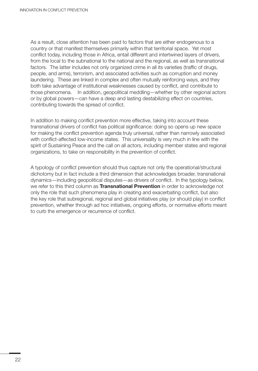As a result, close attention has been paid to factors that are either endogenous to a country or that manifest themselves primarily within that territorial space. Yet most conflict today, including those in Africa, entail different and intertwined layers of drivers, from the local to the subnational to the national and the regional, as well as transnational factors. The latter includes not only organized crime in all its varieties (traffic of drugs, people, and arms), terrorism, and associated activities such as corruption and money laundering. These are linked in complex and often mutually reinforcing ways, and they both take advantage of institutional weaknesses caused by conflict, and contribute to those phenomena. In addition, geopolitical meddling—whether by other regional actors or by global powers—can have a deep and lasting destabilizing effect on countries, contributing towards the spread of conflict.

In addition to making conflict prevention more effective, taking into account these transnational drivers of conflict has political significance: doing so opens up new space for making the conflict prevention agenda truly universal, rather than narrowly associated with conflict-affected low-income states. This universality is very much in line with the spirit of Sustaining Peace and the call on all actors, including member states and regional organizations, to take on responsibility in the prevention of conflict.

A typology of conflict prevention should thus capture not only the operational/structural dichotomy but in fact include a third dimension that acknowledges broader, transnational dynamics—including geopolitical disputes—as drivers of conflict. In the typology below, we refer to this third column as Transnational Prevention in order to acknowledge not only the role that such phenomena play in creating and exacerbating conflict, but also the key role that subregional, regional and global initiatives play (or should play) in conflict prevention, whether through ad hoc initiatives, ongoing efforts, or normative efforts meant to curb the emergence or recurrence of conflict.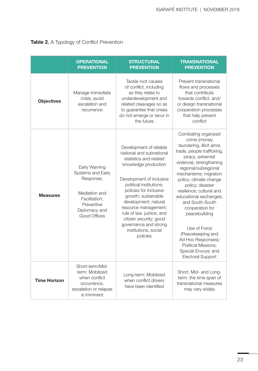#### Table 2. A Typology of Conflict Prevention

|                     | <b>OPERATIONAL</b><br><b>PREVENTION</b>                                                                                          | <b>STRUCTURAL</b><br><b>PREVENTION</b>                                                                                                                                                                                                                                                                                                                                            | <b>TRANSNATIONAL</b><br><b>PREVENTION</b>                                                                                                                                                                                                                                                                                                                                                                                                                                                              |
|---------------------|----------------------------------------------------------------------------------------------------------------------------------|-----------------------------------------------------------------------------------------------------------------------------------------------------------------------------------------------------------------------------------------------------------------------------------------------------------------------------------------------------------------------------------|--------------------------------------------------------------------------------------------------------------------------------------------------------------------------------------------------------------------------------------------------------------------------------------------------------------------------------------------------------------------------------------------------------------------------------------------------------------------------------------------------------|
| <b>Objectives</b>   | Manage immediate<br>crisis; avoid<br>escalation and<br>recurrence                                                                | Tackle root causes<br>of conflict, including<br>as they relate to<br>underdevelopment and<br>related cleavages so as<br>to guarantee that crises<br>do not emerge or recur in<br>the future                                                                                                                                                                                       | Prevent transnational<br>flows and processes<br>that contribute<br>towards conflict, and/<br>or design transnational<br>cooperation processes<br>that help prevent<br>conflict                                                                                                                                                                                                                                                                                                                         |
| <b>Measures</b>     | Early Warning<br>Systems and Early<br>Response;<br>Mediation and<br>Facilitation:<br>Preventive<br>Diplomacy and<br>Good Offices | Development of reliable<br>national and subnational<br>statistics and related<br>knowledge production<br>Development of inclusive<br>political institutions;<br>policies for Inclusive<br>growth; sustainable<br>development; natural<br>resource management;<br>rule of law, justice, and<br>citizen security; good<br>governance and strong<br>institutions; social<br>policies | Combating organized<br>crime (money<br>laundering, illicit arms<br>trade, people trafficking,<br>piracy, extremist<br>violence); strengthening<br>regional/subregional<br>mechanisms; migration<br>policy; climate change<br>policy; disaster<br>resilience; cultural and<br>educational exchanges;<br>and South-South<br>cooperation for<br>peacebuilding<br>Use of Force<br>(Peacekeeping and<br>Ad Hoc Responses);<br><b>Political Missions:</b><br>Special Envoys; and<br><b>Electoral Support</b> |
| <b>Time Horizon</b> | Short-term/Mid-<br>term: Mobilized<br>when conflict<br>occurrence,<br>escalation or relapse<br>is imminent                       | Long-term: Mobilized<br>when conflict drivers<br>have been identified                                                                                                                                                                                                                                                                                                             | Short, Mid- and Long-<br>term: the time span of<br>transnational measures<br>may vary widely                                                                                                                                                                                                                                                                                                                                                                                                           |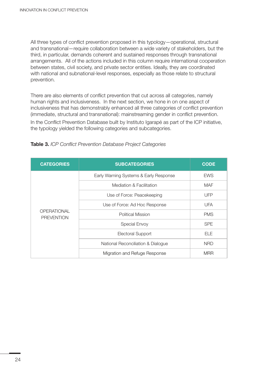All three types of conflict prevention proposed in this typology—operational, structural and transnational—require collaboration between a wide variety of stakeholders, but the third, in particular, demands coherent and sustained responses through transnational arrangements. All of the actions included in this column require international cooperation between states, civil society, and private sector entities. Ideally, they are coordinated with national and subnational-level responses, especially as those relate to structural prevention.

There are also elements of conflict prevention that cut across all categories, namely human rights and inclusiveness. In the next section, we hone in on one aspect of inclusiveness that has demonstrably enhanced all three categories of conflict prevention (immediate, structural and transnational): mainstreaming gender in conflict prevention.

In the Conflict Prevention Database built by Instituto Igarapé as part of the ICP initiative, the typology yielded the following categories and subcategories.

| <b>CATEGORIES</b>                | <b>SUBCATEGORIES</b>                   | <b>CODE</b> |
|----------------------------------|----------------------------------------|-------------|
| OPERATIONAL<br><b>PREVENTION</b> | Early Warning Systems & Early Response | <b>EWS</b>  |
|                                  | Mediation & Facilitation               | MAF         |
|                                  | Use of Force: Peacekeeping             | <b>UFP</b>  |
|                                  | Use of Force: Ad Hoc Response          | UFA         |
|                                  | Political Mission                      | <b>PMS</b>  |
|                                  | Special Envoy                          | <b>SPE</b>  |
|                                  | <b>Electoral Support</b>               | <b>ELE</b>  |
|                                  | National Reconciliation & Dialogue     | <b>NRD</b>  |
|                                  | Migration and Refuge Response          | MRR         |

Table 3. *ICP Conflict Prevention Database Project Categories*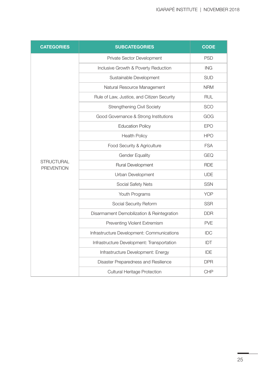| <b>CATEGORIES</b>                      | <b>SUBCATEGORIES</b>                       | <b>CODE</b> |
|----------------------------------------|--------------------------------------------|-------------|
|                                        | Private Sector Development                 | <b>PSD</b>  |
|                                        | Inclusive Growth & Poverty Reduction       | <b>ING</b>  |
|                                        | Sustainable Development                    | <b>SUD</b>  |
|                                        | Natural Resource Management                | <b>NRM</b>  |
|                                        | Rule of Law, Justice, and Citizen Security | <b>RUL</b>  |
|                                        | <b>Strengthening Civil Society</b>         | SCO         |
|                                        | Good Governance & Strong Institutions      | GOG         |
|                                        | <b>Education Policy</b>                    | <b>EPO</b>  |
|                                        | <b>Health Policy</b>                       | <b>HPO</b>  |
|                                        | Food Security & Agriculture                | <b>FSA</b>  |
|                                        | <b>Gender Equality</b>                     | GEQ         |
| <b>STRUCTURAL</b><br><b>PREVENTION</b> | Rural Development                          | <b>RDE</b>  |
|                                        | Urban Development                          | <b>UDE</b>  |
|                                        | Social Safety Nets                         | <b>SSN</b>  |
|                                        | Youth Programs                             | YOP         |
|                                        | Social Security Reform                     | <b>SSR</b>  |
|                                        | Disarmament Demobilization & Reintegration | <b>DDR</b>  |
|                                        | Preventing Violent Extremism               | <b>PVE</b>  |
|                                        | Infrastructure Development: Communications | IDC         |
|                                        | Infrastructure Development: Transportation | IDT         |
|                                        | Infrastructure Development: Energy         | <b>IDE</b>  |
|                                        | Disaster Preparedness and Resilience       | <b>DPR</b>  |
|                                        | Cultural Heritage Protection               | <b>CHP</b>  |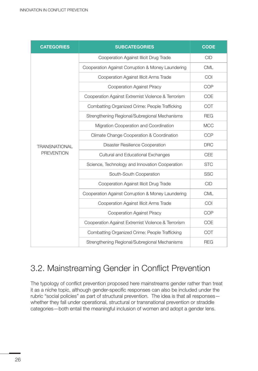<span id="page-27-0"></span>

| <b>CATEGORIES</b>    | <b>SUBCATEGORIES</b>                               | <b>CODE</b> |
|----------------------|----------------------------------------------------|-------------|
|                      | Cooperation Against Illicit Drug Trade             | CID         |
|                      | Cooperation Against Corruption & Money Laundering  | <b>CML</b>  |
|                      | Cooperation Against Illicit Arms Trade             | COI         |
|                      | Cooperation Against Piracy                         | COP         |
|                      | Cooperation Against Extremist Violence & Terrorism | COE         |
|                      | Combatting Organized Crime: People Trafficking     | COT         |
|                      | Strengthening Regional/Subregional Mechanisms      | <b>REG</b>  |
|                      | Migration Cooperation and Coordination             | <b>MCC</b>  |
|                      | Climate Change Cooperation & Coordination          | <b>CCP</b>  |
| <b>TRANSNATIONAL</b> | Disaster Resilience Cooperation                    | <b>DRC</b>  |
| <b>PREVENTION</b>    | Cultural and Educational Exchanges                 | CEE         |
|                      | Science, Technology and Innovation Cooperation     | <b>STC</b>  |
|                      | South-South Cooperation                            | <b>SSC</b>  |
|                      | Cooperation Against Illicit Drug Trade             | CID         |
|                      | Cooperation Against Corruption & Money Laundering  | <b>CML</b>  |
|                      | Cooperation Against Illicit Arms Trade             | <b>COI</b>  |
|                      | Cooperation Against Piracy                         | <b>COP</b>  |
|                      | Cooperation Against Extremist Violence & Terrorism | COE         |
|                      | Combatting Organized Crime: People Trafficking     | COT         |
|                      | Strengthening Regional/Subregional Mechanisms      | <b>REG</b>  |

## 3.2. Mainstreaming Gender in Conflict Prevention

The typology of conflict prevention proposed here mainstreams gender rather than treat it as a niche topic, although gender-specific responses can also be included under the rubric "social policies" as part of structural prevention. The idea is that all responses whether they fall under operational, structural or transnational prevention or straddle categories—both entail the meaningful inclusion of women and adopt a gender lens.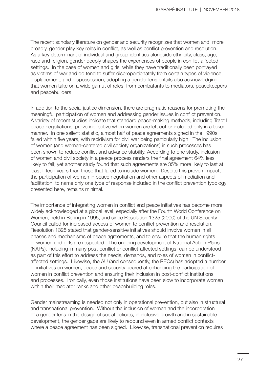The recent scholarly literature on gender and security recognizes that women and, more broadly, gender play key roles in conflict, as well as conflict prevention and resolution. As a key determinant of individual and group identities alongside ethnicity, class, age, race and religion, gender deeply shapes the experiences of people in conflict-affected settings. In the case of women and girls, while they have traditionally been portrayed as victims of war and do tend to suffer disproportionately from certain types of violence, displacement, and dispossession, adopting a gender lens entails also acknowledging that women take on a wide gamut of roles, from combatants to mediators, peacekeepers and peacebuilders.

In addition to the social justice dimension, there are pragmatic reasons for promoting the meaningful participation of women and addressing gender issues in conflict prevention. A variety of recent studies indicate that standard peace-making methods, including Tract I peace negotiations, prove ineffective when women are left out or included only in a token manner. In one salient statistic, almost half of peace agreements signed in the 1990s failed within five years, with recidivism for civil war being particularly high. The inclusion of women (and women-centered civil society organizations) in such processes has been shown to reduce conflict and advance stability. According to one study, inclusion of women and civil society in a peace process renders the final agreement 64% less likely to fail; yet another study found that such agreements are 35% more likely to last at least fifteen years than those that failed to include women. Despite this proven impact, the participation of women in peace negotiation and other aspects of mediation and facilitation, to name only one type of response included in the conflict prevention typology presented here, remains minimal.

The importance of integrating women in conflict and peace initiatives has become more widely acknowledged at a global level, especially after the Fourth World Conference on Women, held in Beijing in 1995, and since Resolution 1325 (2000) of the UN Security Council called for increased access of women to conflict prevention and resolution. Resolution 1325 stated that gender-sensitive initiatives should involve women in all phases and mechanisms of peace agreements, and to ensure that the human rights of women and girls are respected. The ongoing development of National Action Plans (NAPs), including in many post-conflict or conflict-affected settings, can be understood as part of this effort to address the needs, demands, and roles of women in conflictaffected settings. Likewise, the AU (and consequently, the RECs) has adopted a number of initiatives on women, peace and security geared at enhancing the participation of women in conflict prevention and ensuring their inclusion in post-conflict institutions and processes. Ironically, even those institutions have been slow to incorporate women within their mediator ranks and other peacebuilding roles.

Gender mainstreaming is needed not only in operational prevention, but also in structural and transnational prevention. Without the inclusion of women and the incorporation of a gender lens in the design of social policies, in inclusive growth and in sustainable development, the gender gaps are likely to rebound even in armed conflict contexts where a peace agreement has been signed. Likewise, transnational prevention requires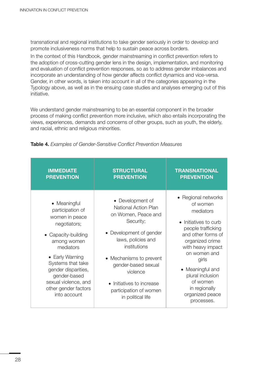<span id="page-29-0"></span>transnational and regional institutions to take gender seriously in order to develop and promote inclusiveness norms that help to sustain peace across borders.

In the context of this Handbook, gender mainstreaming in conflict prevention refers to the adoption of cross-cutting gender lens in the design, implementation, and monitoring and evaluation of conflict prevention responses, so as to address gender imbalances and incorporate an understanding of how gender affects conflict dynamics and vice-versa. Gender, in other words, is taken into account in all of the categories appearing in the Typology above, as well as in the ensuing case studies and analyses emerging out of this initiative.

We understand gender mainstreaming to be an essential component in the broader process of making conflict prevention more inclusive, which also entails incorporating the views, experiences, demands and concerns of other groups, such as youth, the elderly, and racial, ethnic and religious minorities.

| <b>IMMEDIATE</b>                                                                                                                                                                                                                                                     | <b>STRUCTURAL</b>                                                                                                                                                                                                                                                                       | <b>TRANSNATIONAL</b>                                                                                                                                                                                                                                                                     |
|----------------------------------------------------------------------------------------------------------------------------------------------------------------------------------------------------------------------------------------------------------------------|-----------------------------------------------------------------------------------------------------------------------------------------------------------------------------------------------------------------------------------------------------------------------------------------|------------------------------------------------------------------------------------------------------------------------------------------------------------------------------------------------------------------------------------------------------------------------------------------|
| <b>PREVENTION</b>                                                                                                                                                                                                                                                    | <b>PREVENTION</b>                                                                                                                                                                                                                                                                       | <b>PREVENTION</b>                                                                                                                                                                                                                                                                        |
| • Meaningful<br>participation of<br>women in peace<br>negotiators;<br>• Capacity-building<br>among women<br>mediators<br>• Early Warning<br>Systems that take<br>gender disparities,<br>gender-based<br>sexual violence, and<br>other gender factors<br>into account | • Development of<br>National Action Plan<br>on Women, Peace and<br>Security;<br>• Development of gender<br>laws, policies and<br>institutions<br>• Mechanisms to prevent<br>gender-based sexual<br>violence<br>• Initiatives to increase<br>participation of women<br>in political life | • Regional networks<br>of women<br>mediators<br>• Initiatives to curb<br>people trafficking<br>and other forms of<br>organized crime<br>with heavy impact<br>on women and<br>girls<br>• Meaningful and<br>plural inclusion<br>of women<br>in regionally<br>organized peace<br>processes. |

| <b>Table 4.</b> Examples of Gender-Sensitive Conflict Prevention Measures |  |
|---------------------------------------------------------------------------|--|
|---------------------------------------------------------------------------|--|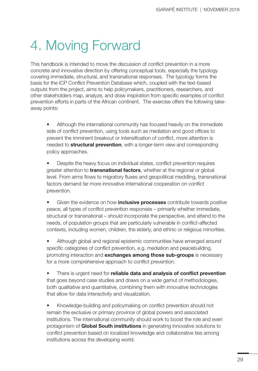## <span id="page-30-0"></span>4. Moving Forward

This handbook is intended to move the discussion of conflict prevention in a more concrete and innovative direction by offering conceptual tools, especially the typology covering immediate, structural, and transnational responses. The typology forms the basis for the ICP Conflict Prevention Database which, coupled with the text-based outputs from the project, aims to help policymakers, practitioners, researchers, and other stakeholders map, analyze, and draw inspiration from specific examples of conflict prevention efforts in parts of the African continent. The exercise offers the following takeaway points:

• Although the international community has focused heavily on the immediate side of conflict prevention, using tools such as mediation and good offices to prevent the imminent breakout or intensification of conflict, more attention is needed to **structural prevention**, with a longer-term view and corresponding policy approaches.

• Despite the heavy focus on individual states, conflict prevention requires greater attention to **transnational factors**, whether at the regional or global level. From arms flows to migratory fluxes and geopolitical meddling, transnational factors demand far more innovative international cooperation on conflict prevention.

Given the evidence on how **inclusive processes** contribute towards positive peace, all types of conflict prevention responses – primarily whether immediate, structural or transnational – should incorporate the perspective, and attend to the needs, of population groups that are particularly vulnerable in conflict-affected contexts, including women, children, the elderly, and ethnic or religious minorities.

• Although global and regional epistemic communities have emerged around specific categories of conflict prevention, e.g. mediation and peacebuilding, promoting interaction and **exchanges among those sub-groups** is necessary for a more comprehensive approach to conflict prevention.

There is urgent need for **reliable data and analysis of conflict prevention** that goes beyond case studies and draws on a wide gamut of methodologies, both qualitative and quantitative, combining them with innovative technologies that allow for data interactivity and visualization.

• Knowledge-building and policymaking on conflict prevention should not remain the exclusive or primary province of global powers and associated institutions. The international community should work to boost the role and even protagonism of Global South institutions in generating innovative solutions to conflict prevention based on localized knowledge and collaborative ties among institutions across the developing world.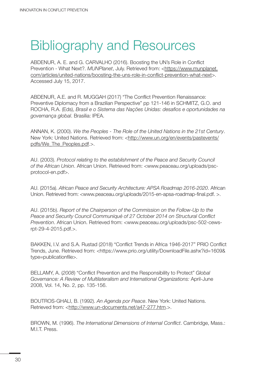## Bibliography and Resources

ABDENUR, A. E. and G. CARVALHO (2016). Boosting the UN's Role in Conflict Prevention - What Next?. *MUNPlanet*, July. Retrieved from: <https://www.munplanet. com/articles/united-nations/boosting-the-uns-role-in-conflict-prevention-what-next>. Accessed July 15, 2017.

ABDENUR, A.E. and R. MUGGAH (2017) "The Conflict Prevention Renaissance: Preventive Diplomacy from a Brazilian Perspective" pp 121-146 in SCHMITZ, G.O. and ROCHA, R.A. (Eds), *Brasil e o Sistema das Nações Unidas: desafios e oportunidades na governança global*. Brasília: IPEA.

ANNAN, K. (2000). *We the Peoples - The Role of the United Nations in the 21st Century*. New York: United Nations. Retrieved from: <http://www.un.org/en/events/pastevents/ pdfs/We\_The\_Peoples.pdf.>.

AU. (2003). *Protocol relating to the establishment of the Peace and Security Council of the African Union*. African Union. Retrieved from: <www.peaceau.org/uploads/pscprotocol-en.pdf>.

AU. (2015a). *African Peace and Security Architecture: APSA Roadmap 2016-2020*. African Union. Retrieved from: <www.peaceau.org/uploads/2015-en-apsa-roadmap-final.pdf. >.

AU. (2015b). *Report of the Chairperson of the Commission on the Follow-Up to the Peace and Security Council Communiqué of 27 October 2014 on Structural Conflict Prevention*. African Union. Retrieved from: <www.peaceau.org/uploads/psc-502-cewsrpt-29-4-2015.pdf.>.

BAKKEN, I.V. and S.A. Rustad (2018) "Conflict Trends in Africa 1946-2017" PRIO Conflict Trends, June. Retrieved from: [<https://www.prio.org/utility/DownloadFile.ashx?id=1609&](https://www.prio.org/utility/DownloadFile.ashx?id=1609&type=publicationfile) [type=publicationfile](https://www.prio.org/utility/DownloadFile.ashx?id=1609&type=publicationfile)>.

BELLAMY, A. (*2008*) "Conflict Prevention and the Responsibility to Protect" *Global Governance: A Review of Multilateralism and International Organizations:* April-June 2008, Vol. 14, No. 2, pp. 135-156.

BOUTROS-GHALI, B. (1992). *An Agenda por Peace*. New York: United Nations. Retrieved from: <http://www.un-documents.net/a47-277.htm.>.

BROWN, M. (1996). *The International Dimensions of Internal Conflict*. Cambridge, Mass.: M.I.T. Press.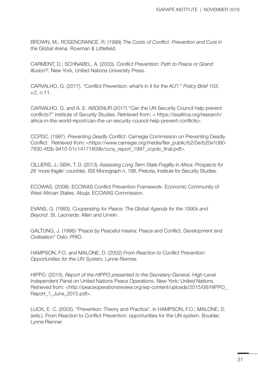BROWN, M.; ROSENCRANCE, R. (1999) *The Costs of Conflict: Prevention and Cure in the Global Arena*. Rowman & Littlefield.

CARMENT, D.; SCHNABEL, A. (2003). *Conflict Prevention: Path to Peace or Grand Illusion?*. New York, United Nations University Press.

CARVALHO, G. (2017). "Conflict Prevention: what's in it for the AU?." *Policy Brief 103*, v.2, n.11.

CARVALHO, G. and A. E. ABDENUR (2017) "Can the UN Security Council help prevent conflicts?" Institute of Security Studies. Retrieved from: < [https://issafrica.org/research/](https://issafrica.org/research/africa-in-the-world-report/can-the-un-security-council-help-prevent-conflicts) [africa-in-the-world-report/can-the-un-security-council-help-prevent-conflicts>](https://issafrica.org/research/africa-in-the-world-report/can-the-un-security-council-help-prevent-conflicts)

CCPDC. (1997). *Preventing Deadly Conflict*. Carnegie Commission on Preventing Deadly Conflict. Retrieved from: <https://www.carnegie.org/media/filer\_public/b2/0e/b20e1080-7830-4f2b-9410-51c14171809b/ccny\_report\_1997\_ccpdc\_final.pdf>.

CILLIERS, J.; SISK, T. D. (2013). *Assessing Long Term State Fragility in Africa: Prospects for 26 'more fragile' countries*. ISS Monograph n. 188, Pretoria, Institute for Security Studies.

ECOWAS. (2008). ECOWAS Conflict Prevention Framework. Economic Community of West African States. Abuja: ECOWAS Commission.

EVANS, G. (1993). *Cooperating for Peace: The Global Agenda for the 1990s and Beyond*. St. Leonards: Allen and Unwin.

GALTUNG, J. (1996) "Peace by Peaceful means: Peace and Conflict, Development and Civilisation" Oslo: PRIO.

HAMPSON, F.O. and MALONE, D. (2002) *From Reaction to Conflict Prevention: Opportunities for the UN System.* Lynne Rienner.

HIPPO. (2015). *Report of the HIPPO presented to the Secretary-General*. High-Level Independent Panel on United Nations Peace Operations. New York: United Nations. Retrieved from: <http://peaceoperationsreview.org/wp-content/uploads/2015/08/HIPPO\_ Report\_1\_June\_2015.pdf>.

LUCK, E. C. (2002). "Prevention: Theory and Practice". In HAMPSON, F.O.; MALONE, D. (eds.). From Reaction to Conflict Prevention: opportunities for the UN system. Boulder, Lynne Rienner.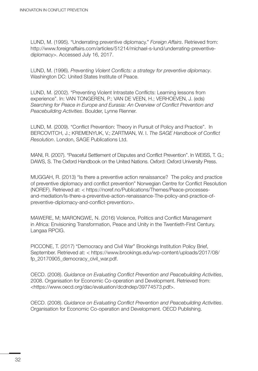LUND, M. (1995). "Underrating preventive diplomacy." *Foreign Affairs*. Retrieved from: http://www.foreignaffairs.com/articles/51214/michael-s-lund/underrating-preventivediplomacy>. Accessed July 16, 2017.

LUND, M. (1996). *Preventing Violent Conflicts: a strategy for preventive diplomacy*. Washington DC: United States Institute of Peace.

LUND, M. (2002). "Preventing Violent Intrastate Conflicts: Learning lessons from experience". In: VAN TONGEREN, P.; VAN DE VEEN, H.; VERHOEVEN, J. (eds) *Searching for Peace in Europe and Eurasia: An Overview of Conflict Prevention and Peacebuilding Activities*. Boulder, Lynne Rienner.

LUND, M. (2009). "Conflict Prevention: Theory in Pursuit of Policy and Practice". In BERCOVITCH, J.; KREMENYUK, V.; ZARTMAN, W. I. *The SAGE Handbook of Conflict Resolution*. London, SAGE Publications Ltd.

MANI, R. (2007). "Peaceful Settlement of Disputes and Conflict Prevention". In WEISS, T. G.; DAWS, S. The Oxford Handbook on the United Nations. Oxford: Oxford University Press.

MUGGAH, R. (2013) "Is there a preventive action renaissance? The policy and practice of preventive diplomacy and conflict prevention" Norwegian Centre for Conflict Resolution (NOREF). Retrieved at: < [https://noref.no/Publications/Themes/Peace-processes](https://noref.no/Publications/Themes/Peace-processes-and-mediation/Is-there-a-preventive-action-renaissance-The-policy-and-practice-of-preventive-diplomacy-and-conflict-prevention)[and-mediation/Is-there-a-preventive-action-renaissance-The-policy-and-practice-of](https://noref.no/Publications/Themes/Peace-processes-and-mediation/Is-there-a-preventive-action-renaissance-The-policy-and-practice-of-preventive-diplomacy-and-conflict-prevention)[preventive-diplomacy-and-conflict-prevention>](https://noref.no/Publications/Themes/Peace-processes-and-mediation/Is-there-a-preventive-action-renaissance-The-policy-and-practice-of-preventive-diplomacy-and-conflict-prevention).

MAWERE, M; MARONGWE, N. (2016) Violence, Politics and Conflict Management in Africa: Envisioning Transformation, Peace and Unity in the Twentieth-First Century. Langaa RPCIG.

PICCONE, T. (2017) "Democracy and Civil War" Brookings Institution Policy Brief, September. Retrieved at: < [https://www.brookings.edu/wp-content/uploads/2017/08/](https://www.brookings.edu/wp-content/uploads/2017/08/fp_20170905_democracy_civil_war.pdf) [fp\\_20170905\\_democracy\\_civil\\_war.pdf](https://www.brookings.edu/wp-content/uploads/2017/08/fp_20170905_democracy_civil_war.pdf).

OECD. (2008). *Guidance on Evaluating Conflict Prevention and Peacebuilding Activities*, 2008. Organisation for Economic Co-operation and Development. Retrieved from: <https://www.oecd.org/dac/evaluation/dcdndep/39774573.pdf>.

OECD. (2008). *Guidance on Evaluating Conflict Prevention and Peacebuilding Activities*. Organisation for Economic Co-operation and Development. OECD Publishing.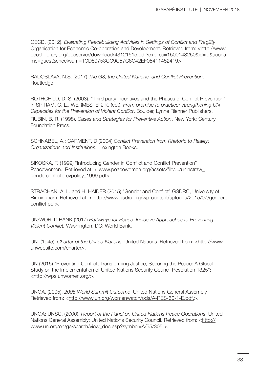OECD. (2012). *Evaluating Peacebuilding Activities in Settings of Conflict and Fragility*. Organisation for Economic Co-operation and Development. Retrieved from: <http://www. oecd-ilibrary.org/docserver/download/4312151e.pdf?expires=1500143250&id=id&accna me=guest&checksum=1CD89753CC9C57C8C42EF05411452419>.

RADOSLAVA, N.S. (2017) *The G8, the United Nations, and Conflict Prevention*. Routledge.

ROTHCHILD, D. S. (2003). "Third party incentives and the Phases of Conflict Prevention". In SRIRAM, C. L., WERMESTER, K. (ed.). *From promise to practice: strengthening UN Capacities for the Prevention of Violent Conflict*. Boulder, Lynne Rienner Publishers.

RUBIN, B. R. (1998). *Cases and Strategies for Preventive Action*. New York: Century Foundation Press.

SCHNABEL, A.; CARMENT, D (2004) *Conflict Prevention from Rhetoric to Reality: Organizations and Institutions.* Lexington Books.

SIKOSKA, T. (1999) "Introducing Gender in Conflict and Conflict Prevention" Peacewomen. Retrieved at: < [www.peacewomen.org/assets/file/.../uninstraw\\_](http://www.peacewomen.org/assets/file/.../uninstraw_genderconflictprevpolicy_1999.pdf) [genderconflictprevpolicy\\_1999.pdf](http://www.peacewomen.org/assets/file/.../uninstraw_genderconflictprevpolicy_1999.pdf)>.

STRACHAN, A. L. and H. HAIDER (2015) "Gender and Conflict" GSDRC, University of Birmingham. Retrieved at: < [http://www.gsdrc.org/wp-content/uploads/2015/07/gender\\_](http://www.gsdrc.org/wp-content/uploads/2015/07/gender_conflict.pdf) [conflict.pdf>](http://www.gsdrc.org/wp-content/uploads/2015/07/gender_conflict.pdf).

UN/WORLD BANK (2017) *Pathways for Peace: Inclusive Approaches to Preventing Violent Conflict.* Washington, DC: World Bank.

UN. (1945). *Charter of the United Nations*. United Nations. Retrieved from: <http://www. unwebsite.com/charter>.

UN (2015) "Preventing Conflict, Transforming Justice, Securing the Peace: A Global Study on the Implementation of United Nations Security Council Resolution 1325": [<http://wps.unwomen.org/](http://wps.unwomen.org/)>.

UNGA. (2005). *2005 World Summit Outcome*. United Nations General Assembly. Retrieved from: <http://www.un.org/womenwatch/ods/A-RES-60-1-E.pdf.>.

UNGA; UNSC. (2000). *Report of the Panel on United Nations Peace Operations*. United Nations General Assembly; United Nations Security Council. Retrieved from: <http:// www.un.org/en/ga/search/view\_doc.asp?symbol=A/55/305.>.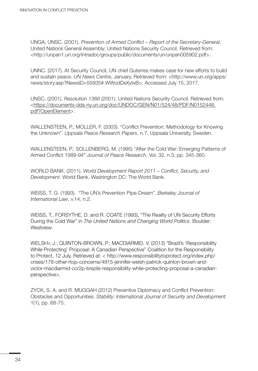<span id="page-35-0"></span>UNGA; UNSC. (2001). *Prevention of Armed Conflict – Report of the Secretary-General*. United Nations General Assembly; United Nations Security Council. Retrieved from: <http://unpan1.un.org/intradoc/groups/public/documents/un/unpan005902.pdf>.

UNNC. (2017). At Security Council, UN chief Guterres makes case for new efforts to build and sustain peace. *UN News Centre*, January. Retrieved from: <http://www.un.org/apps/ news/story.asp?NewsID=55935#.WWodDxXytxB>. Accessed July 15, 2017.

UNSC. (2001). *Resolution 1366 (2001)*. United Nations Security Council. Retrieved from: <https://documents-dds-ny.un.org/doc/UNDOC/GEN/N01/524/48/PDF/N0152448. pdf?OpenElement>.

WALLENSTEEN, P.; MOLLER, F. (2003). "Conflict Prevention: Methodology for Knowing the Unknown". *Uppsala Peace Research Papers*, n.7, Uppsala University, Sweden.

WALLENSTEEN, P.; SOLLENBERG, M. (1995) "After the Cold War: Emerging Patterns of Armed Conflict 1989-94" *Journal of Peace Research*, Vol. 32, n.3, pp. 345-360.

WORLD BANK. (2011). *World Development Report 2011 – Conflict, Security, and Development*. World Bank. Washington DC: The World Bank.

WEISS, T. G. (1993). "The UN's Prevention Pipe-Dream". *Berkeley Journal of International Law*, v.14, n.2.

WEISS, T., FORSYTHE, D. and R. COATE (1993), "The Reality of UN Security Efforts During the Cold War" in *The United Nations and Changing World Politics.* Boulder: Westview.

WELSH< J.; QUINTON-BROWN, P.; MACDIARMID, V. (2013) "Brazil's 'Responsibility While Protecting' Proposal: A Canadian Perspective" Coalition for the Responsibility to Protect, 12 July. Retrieved at: < http://www.responsibilitytoprotect.org/index.php/ crises/178-other-rtop-concerns/4915-jennifer-welsh-patrick-quinton-brown-andvictor-macdiarmid-ccr2p-brazils-responsibility-while-protecting-proposal-a-canadianperspective>.

ZYCK, S. A. and R. MUGGAH (2012) Preventive Diplomacy and Conflict Prevention: Obstacles and Opportunities*. Stability: International Journal of Security and Development.* 1(1), pp. 68-75.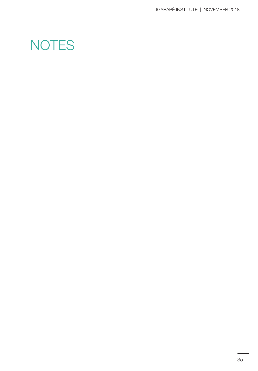## **NOTES**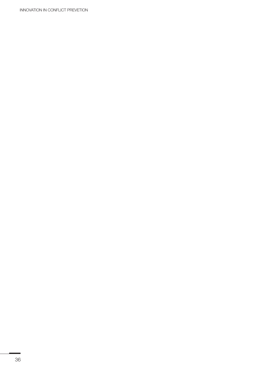INNOVATION IN CONFLICT PREVETION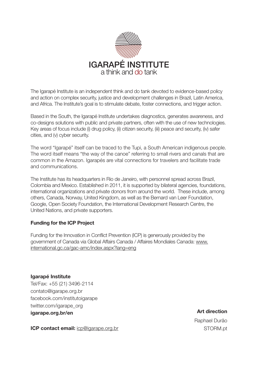

The Igarapé Institute is an independent think and do tank devoted to evidence-based policy and action on complex security, justice and development challenges in Brazil, Latin America, and Africa. The Institute's goal is to stimulate debate, foster connections, and trigger action.

Based in the South, the Igarapé Institute undertakes diagnostics, generates awareness, and co-designs solutions with public and private partners, often with the use of new technologies. Key areas of focus include (i) drug policy, (ii) citizen security, (iii) peace and security, (iv) safer cities, and (v) cyber security.

The word "Igarapé" itself can be traced to the Tupi, a South American indigenous people. The word itself means "the way of the canoe" referring to small rivers and canals that are common in the Amazon. Igarapés are vital connections for travelers and facilitate trade and communications.

The Institute has its headquarters in Rio de Janeiro, with personnel spread across Brazil, Colombia and Mexico. Established in 2011, it is supported by bilateral agencies, foundations, international organizations and private donors from around the world. These include, among others, Canada, Norway, United Kingdom, as well as the Bernard van Leer Foundation, Google, Open Society Foundation, the International Development Research Centre, the United Nations, and private supporters.

#### Funding for the ICP Project

Funding for the Innovation in Conflict Prevention (ICP) is generously provided by the government of Canada via Global Affairs Canada / Affaires Mondiales Canada: [www.](http://www.international.gc.ca/gac-amc/index.aspx?lang=eng) [international.gc.ca/gac-amc/index.aspx?lang=eng](http://www.international.gc.ca/gac-amc/index.aspx?lang=eng)

#### Igarapé Institute

Tel/Fax: +55 (21) 3496-2114 contato@igarape.org.br <facebook.com/institutoigarape> [twitter.com/igarape](twitter.com/institutoigarape)\_org igarape.org.br/en

Art direction

[Raphael Durão](http://www.stormdesign.me) [S](http://www.stormdesign.me)TORM.pt

ICP contact email: [icp@igarape.org.br](mailto:icp@igarape.org.br)